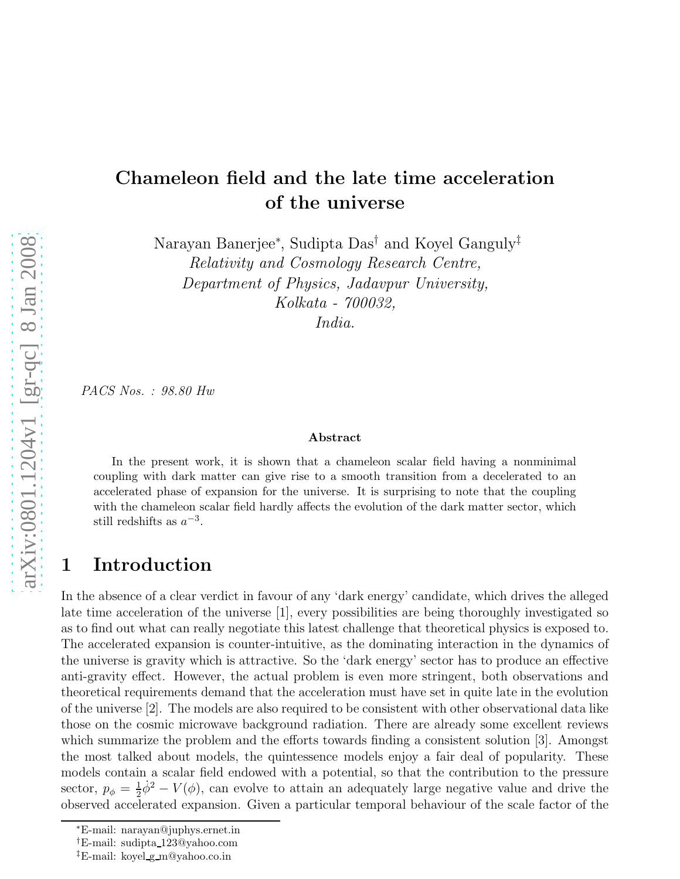## Chameleon field and the late time acceleration of the universe

Narayan Banerjee<sup>∗</sup> , Sudipta Das† and Koyel Ganguly‡

*Relativity and Cosmology Research Centre, Department of Physics, Jadavpur University, Kolkata - 700032, India.*

*PACS Nos. : 98.80 Hw*

#### Abstract

In the present work, it is shown that a chameleon scalar field having a nonminimal coupling with dark matter can give rise to a smooth transition from a decelerated to an accelerated phase of expansion for the universe. It is surprising to note that the coupling with the chameleon scalar field hardly affects the evolution of the dark matter sector, which still redshifts as  $a^{-3}$ .

### 1 Introduction

In the absence of a clear verdict in favour of any 'dark energy' candidate, which drives the alleged late time acceleration of the universe [1], every possibilities are being thoroughly investigated so as to find out what can really negotiate this latest challenge that theoretical physics is exposed to. The accelerated expansion is counter-intuitive, as the dominating interaction in the dynamics of the universe is gravity which is attractive. So the 'dark energy' sector has to produce an effective anti-gravity effect. However, the actual problem is even more stringent, both observations and theoretical requirements demand that the acceleration must have set in quite late in the evolution of the universe [2]. The models are also required to be consistent with other observational data like those on the cosmic microwave background radiation. There are already some excellent reviews which summarize the problem and the efforts towards finding a consistent solution [3]. Amongst the most talked about models, the quintessence models enjoy a fair deal of popularity. These models contain a scalar field endowed with a potential, so that the contribution to the pressure sector,  $p_{\phi} = \frac{1}{2}$  $\frac{1}{2}\dot{\phi}^2 - V(\phi)$ , can evolve to attain an adequately large negative value and drive the observed accelerated expansion. Given a particular temporal behaviour of the scale factor of the

<sup>∗</sup>E-mail: narayan@juphys.ernet.in

<sup>†</sup>E-mail: sudipta 123@yahoo.com

<sup>‡</sup>E-mail: koyel g m@yahoo.co.in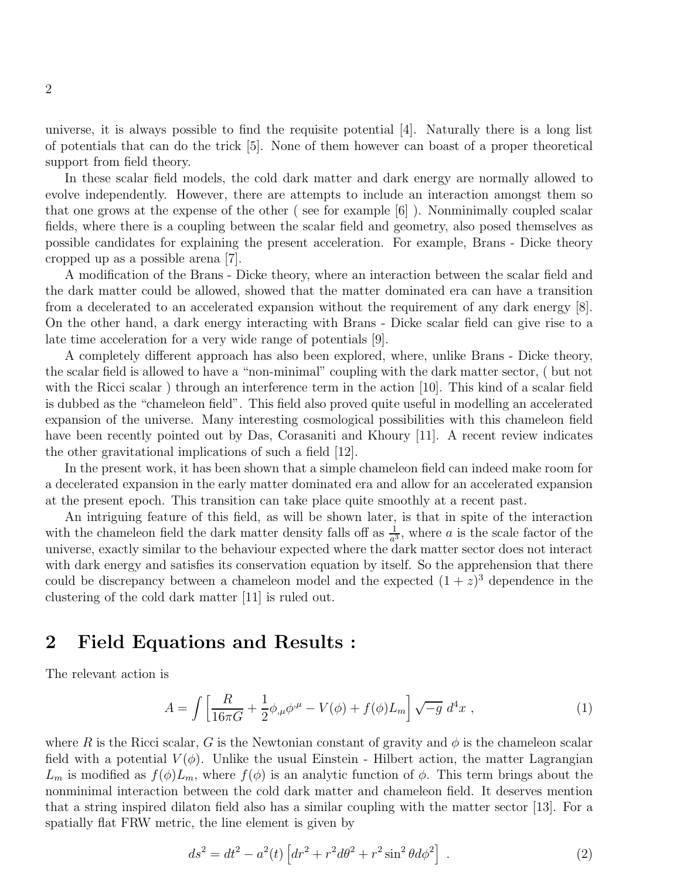universe, it is always possible to find the requisite potential [4]. Naturally there is a long list of potentials that can do the trick [5]. None of them however can boast of a proper theoretical support from field theory.

In these scalar field models, the cold dark matter and dark energy are normally allowed to evolve independently. However, there are attempts to include an interaction amongst them so that one grows at the expense of the other ( see for example [6] ). Nonminimally coupled scalar fields, where there is a coupling between the scalar field and geometry, also posed themselves as possible candidates for explaining the present acceleration. For example, Brans - Dicke theory cropped up as a possible arena [7].

A modification of the Brans - Dicke theory, where an interaction between the scalar field and the dark matter could be allowed, showed that the matter dominated era can have a transition from a decelerated to an accelerated expansion without the requirement of any dark energy [8]. On the other hand, a dark energy interacting with Brans - Dicke scalar field can give rise to a late time acceleration for a very wide range of potentials [9].

A completely different approach has also been explored, where, unlike Brans - Dicke theory, the scalar field is allowed to have a "non-minimal" coupling with the dark matter sector, ( but not with the Ricci scalar) through an interference term in the action [10]. This kind of a scalar field is dubbed as the "chameleon field". This field also proved quite useful in modelling an accelerated expansion of the universe. Many interesting cosmological possibilities with this chameleon field have been recently pointed out by Das, Corasaniti and Khoury [11]. A recent review indicates the other gravitational implications of such a field [12].

In the present work, it has been shown that a simple chameleon field can indeed make room for a decelerated expansion in the early matter dominated era and allow for an accelerated expansion at the present epoch. This transition can take place quite smoothly at a recent past.

An intriguing feature of this field, as will be shown later, is that in spite of the interaction with the chameleon field the dark matter density falls off as  $\frac{1}{a^3}$ , where a is the scale factor of the universe, exactly similar to the behaviour expected where the dark matter sector does not interact with dark energy and satisfies its conservation equation by itself. So the apprehension that there could be discrepancy between a chameleon model and the expected  $(1 + z)^3$  dependence in the clustering of the cold dark matter [11] is ruled out.

### 2 Field Equations and Results :

The relevant action is

$$
A = \int \left[ \frac{R}{16\pi G} + \frac{1}{2} \phi_{,\mu} \phi^{,\mu} - V(\phi) + f(\phi) L_m \right] \sqrt{-g} \, d^4 x \;, \tag{1}
$$

where R is the Ricci scalar, G is the Newtonian constant of gravity and  $\phi$  is the chameleon scalar field with a potential  $V(\phi)$ . Unlike the usual Einstein - Hilbert action, the matter Lagrangian  $L_m$  is modified as  $f(\phi)L_m$ , where  $f(\phi)$  is an analytic function of  $\phi$ . This term brings about the nonminimal interaction between the cold dark matter and chameleon field. It deserves mention that a string inspired dilaton field also has a similar coupling with the matter sector [13]. For a spatially flat FRW metric, the line element is given by

$$
ds^{2} = dt^{2} - a^{2}(t) \left[ dr^{2} + r^{2} d\theta^{2} + r^{2} \sin^{2} \theta d\phi^{2} \right] . \tag{2}
$$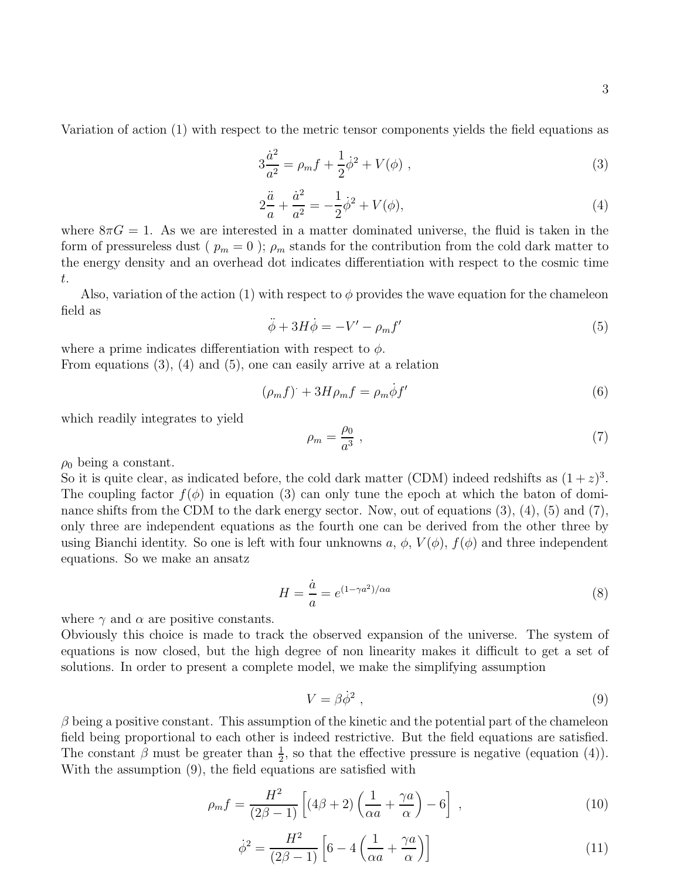Variation of action (1) with respect to the metric tensor components yields the field equations as

$$
3\frac{\dot{a}^2}{a^2} = \rho_m f + \frac{1}{2}\dot{\phi}^2 + V(\phi) \;, \tag{3}
$$

$$
2\frac{\ddot{a}}{a} + \frac{\dot{a}^2}{a^2} = -\frac{1}{2}\dot{\phi}^2 + V(\phi),\tag{4}
$$

where  $8\pi G = 1$ . As we are interested in a matter dominated universe, the fluid is taken in the form of pressureless dust ( $p_m = 0$ );  $\rho_m$  stands for the contribution from the cold dark matter to the energy density and an overhead dot indicates differentiation with respect to the cosmic time t.

Also, variation of the action (1) with respect to  $\phi$  provides the wave equation for the chameleon field as

$$
\ddot{\phi} + 3H\dot{\phi} = -V' - \rho_m f'
$$
\n(5)

where a prime indicates differentiation with respect to  $\phi$ . From equations (3), (4) and (5), one can easily arrive at a relation

$$
(\rho_m f) + 3H\rho_m f = \rho_m \dot{\phi} f'
$$
\n(6)

which readily integrates to yield

$$
\rho_m = \frac{\rho_0}{a^3} \,,\tag{7}
$$

 $\rho_0$  being a constant.

So it is quite clear, as indicated before, the cold dark matter (CDM) indeed redshifts as  $(1+z)^3$ . The coupling factor  $f(\phi)$  in equation (3) can only tune the epoch at which the baton of dominance shifts from the CDM to the dark energy sector. Now, out of equations  $(3)$ ,  $(4)$ ,  $(5)$  and  $(7)$ , only three are independent equations as the fourth one can be derived from the other three by using Bianchi identity. So one is left with four unknowns  $a, \phi, V(\phi), f(\phi)$  and three independent equations. So we make an ansatz

$$
H = \frac{\dot{a}}{a} = e^{(1 - \gamma a^2)/\alpha a} \tag{8}
$$

where  $\gamma$  and  $\alpha$  are positive constants.

Obviously this choice is made to track the observed expansion of the universe. The system of equations is now closed, but the high degree of non linearity makes it difficult to get a set of solutions. In order to present a complete model, we make the simplifying assumption

$$
V = \beta \dot{\phi}^2 \,,\tag{9}
$$

 $\beta$  being a positive constant. This assumption of the kinetic and the potential part of the chameleon field being proportional to each other is indeed restrictive. But the field equations are satisfied. The constant  $\beta$  must be greater than  $\frac{1}{2}$ , so that the effective pressure is negative (equation (4)). With the assumption (9), the field equations are satisfied with

$$
\rho_m f = \frac{H^2}{(2\beta - 1)} \left[ (4\beta + 2) \left( \frac{1}{\alpha a} + \frac{\gamma a}{\alpha} \right) - 6 \right] , \qquad (10)
$$

$$
\dot{\phi}^2 = \frac{H^2}{(2\beta - 1)} \left[ 6 - 4\left(\frac{1}{\alpha a} + \frac{\gamma a}{\alpha}\right) \right]
$$
(11)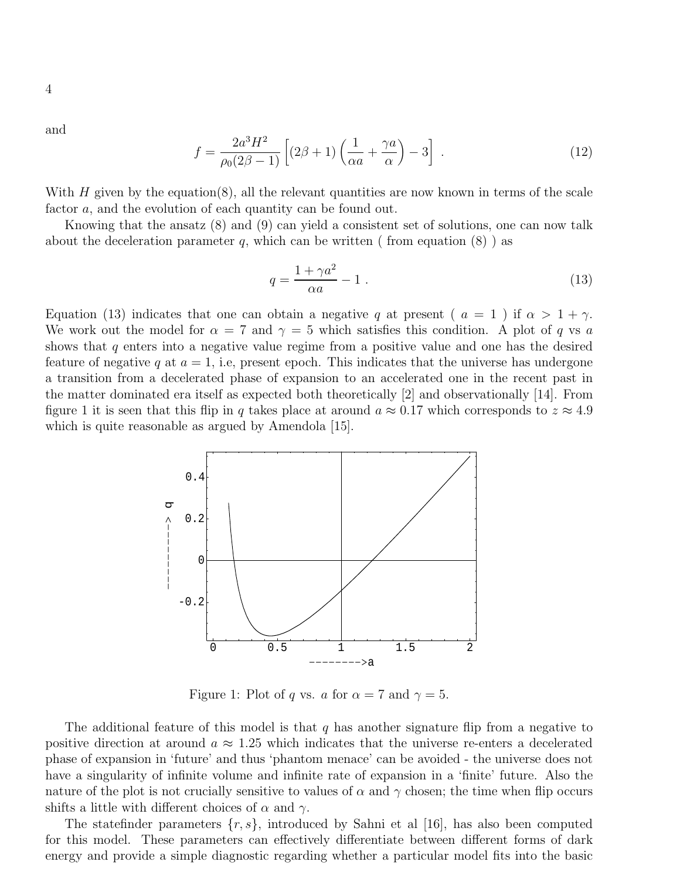and

$$
f = \frac{2a^3H^2}{\rho_0(2\beta - 1)} \left[ (2\beta + 1) \left( \frac{1}{\alpha a} + \frac{\gamma a}{\alpha} \right) - 3 \right] \tag{12}
$$

With  $H$  given by the equation(8), all the relevant quantities are now known in terms of the scale factor a, and the evolution of each quantity can be found out.

Knowing that the ansatz (8) and (9) can yield a consistent set of solutions, one can now talk about the deceleration parameter q, which can be written ( from equation  $(8)$  ) as

$$
q = \frac{1 + \gamma a^2}{\alpha a} - 1 \tag{13}
$$

Equation (13) indicates that one can obtain a negative q at present (  $a = 1$  ) if  $\alpha > 1 + \gamma$ . We work out the model for  $\alpha = 7$  and  $\gamma = 5$  which satisfies this condition. A plot of q vs a shows that  $q$  enters into a negative value regime from a positive value and one has the desired feature of negative q at  $a = 1$ , i.e, present epoch. This indicates that the universe has undergone a transition from a decelerated phase of expansion to an accelerated one in the recent past in the matter dominated era itself as expected both theoretically [2] and observationally [14]. From figure 1 it is seen that this flip in q takes place at around  $a \approx 0.17$  which corresponds to  $z \approx 4.9$ which is quite reasonable as argued by Amendola [15].



Figure 1: Plot of q vs. a for  $\alpha = 7$  and  $\gamma = 5$ .

The additional feature of this model is that q has another signature flip from a negative to positive direction at around  $a \approx 1.25$  which indicates that the universe re-enters a decelerated phase of expansion in 'future' and thus 'phantom menace' can be avoided - the universe does not have a singularity of infinite volume and infinite rate of expansion in a 'finite' future. Also the nature of the plot is not crucially sensitive to values of  $\alpha$  and  $\gamma$  chosen; the time when flip occurs shifts a little with different choices of  $\alpha$  and  $\gamma$ .

The statefinder parameters  $\{r, s\}$ , introduced by Sahni et al [16], has also been computed for this model. These parameters can effectively differentiate between different forms of dark energy and provide a simple diagnostic regarding whether a particular model fits into the basic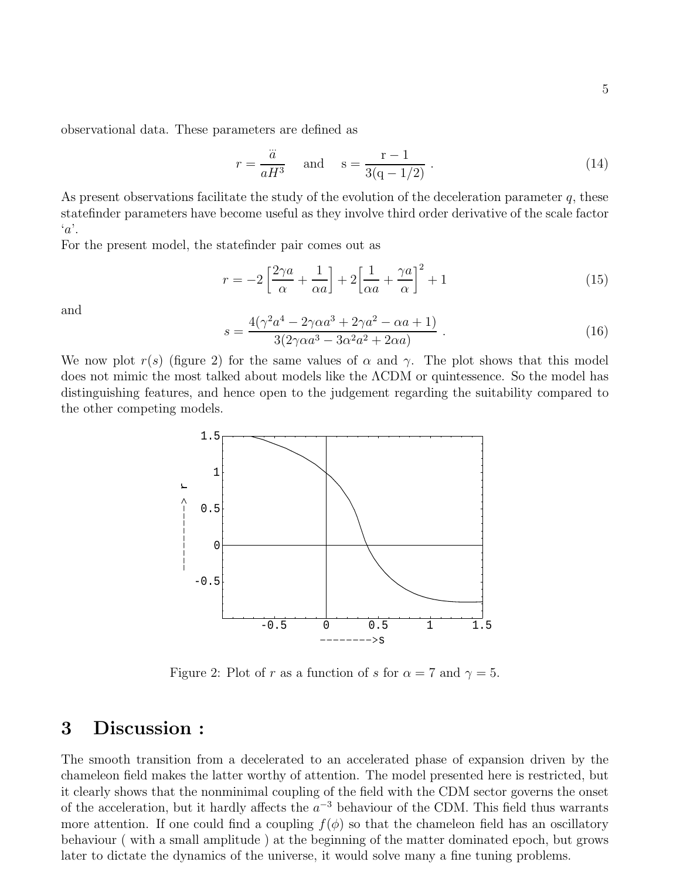observational data. These parameters are defined as

$$
r = \frac{\dddot{a}}{aH^3}
$$
 and  $s = \frac{r-1}{3(q-1/2)}$ . (14)

As present observations facilitate the study of the evolution of the deceleration parameter  $q$ , these statefinder parameters have become useful as they involve third order derivative of the scale factor  $\alpha$ .

For the present model, the statefinder pair comes out as

$$
r = -2\left[\frac{2\gamma a}{\alpha} + \frac{1}{\alpha a}\right] + 2\left[\frac{1}{\alpha a} + \frac{\gamma a}{\alpha}\right]^2 + 1\tag{15}
$$

and

$$
s = \frac{4(\gamma^2 a^4 - 2\gamma \alpha a^3 + 2\gamma a^2 - \alpha a + 1)}{3(2\gamma \alpha a^3 - 3\alpha^2 a^2 + 2\alpha a)}.
$$
 (16)

We now plot  $r(s)$  (figure 2) for the same values of  $\alpha$  and  $\gamma$ . The plot shows that this model does not mimic the most talked about models like the ΛCDM or quintessence. So the model has distinguishing features, and hence open to the judgement regarding the suitability compared to the other competing models.



Figure 2: Plot of r as a function of s for  $\alpha = 7$  and  $\gamma = 5$ .

#### 3 Discussion :

The smooth transition from a decelerated to an accelerated phase of expansion driven by the chameleon field makes the latter worthy of attention. The model presented here is restricted, but it clearly shows that the nonminimal coupling of the field with the CDM sector governs the onset of the acceleration, but it hardly affects the  $a^{-3}$  behaviour of the CDM. This field thus warrants more attention. If one could find a coupling  $f(\phi)$  so that the chameleon field has an oscillatory behaviour ( with a small amplitude ) at the beginning of the matter dominated epoch, but grows later to dictate the dynamics of the universe, it would solve many a fine tuning problems.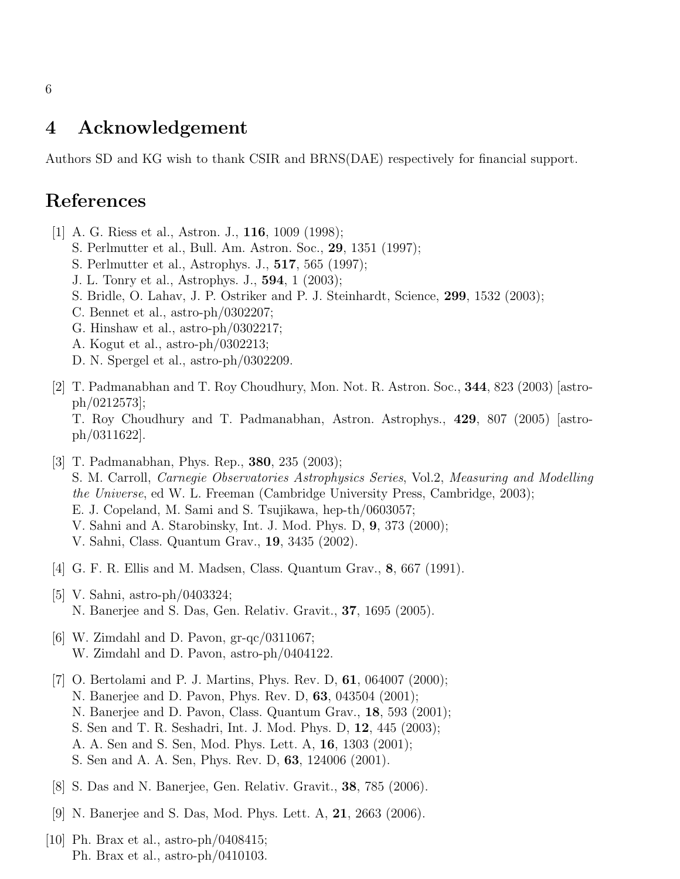#### 4 Acknowledgement

Authors SD and KG wish to thank CSIR and BRNS(DAE) respectively for financial support.

# References

- [1] A. G. Riess et al., Astron. J., 116, 1009 (1998);
	- S. Perlmutter et al., Bull. Am. Astron. Soc., 29, 1351 (1997);
	- S. Perlmutter et al., Astrophys. J., 517, 565 (1997);
	- J. L. Tonry et al., Astrophys. J., 594, 1 (2003);
	- S. Bridle, O. Lahav, J. P. Ostriker and P. J. Steinhardt, Science, 299, 1532 (2003);
	- C. Bennet et al., astro-ph/0302207;
	- G. Hinshaw et al., astro-ph/0302217;
	- A. Kogut et al., astro-ph/0302213;
	- D. N. Spergel et al., astro-ph/0302209.
- [2] T. Padmanabhan and T. Roy Choudhury, Mon. Not. R. Astron. Soc., 344, 823 (2003) [astroph/0212573];

T. Roy Choudhury and T. Padmanabhan, Astron. Astrophys., 429, 807 (2005) [astroph/0311622].

- [3] T. Padmanabhan, Phys. Rep., 380, 235 (2003); S. M. Carroll, *Carnegie Observatories Astrophysics Series*, Vol.2, *Measuring and Modelling the Universe*, ed W. L. Freeman (Cambridge University Press, Cambridge, 2003); E. J. Copeland, M. Sami and S. Tsujikawa, hep-th/0603057; V. Sahni and A. Starobinsky, Int. J. Mod. Phys. D, 9, 373 (2000); V. Sahni, Class. Quantum Grav., 19, 3435 (2002).
- [4] G. F. R. Ellis and M. Madsen, Class. Quantum Grav., 8, 667 (1991).
- [5] V. Sahni, astro-ph/0403324; N. Banerjee and S. Das, Gen. Relativ. Gravit., 37, 1695 (2005).
- [6] W. Zimdahl and D. Pavon,  $gr-qc/0311067$ ; W. Zimdahl and D. Pavon, astro-ph/0404122.
- [7] O. Bertolami and P. J. Martins, Phys. Rev. D, 61, 064007 (2000); N. Banerjee and D. Pavon, Phys. Rev. D, 63, 043504 (2001); N. Banerjee and D. Pavon, Class. Quantum Grav., 18, 593 (2001); S. Sen and T. R. Seshadri, Int. J. Mod. Phys. D, 12, 445 (2003); A. A. Sen and S. Sen, Mod. Phys. Lett. A, 16, 1303 (2001); S. Sen and A. A. Sen, Phys. Rev. D, 63, 124006 (2001).
- [8] S. Das and N. Banerjee, Gen. Relativ. Gravit., 38, 785 (2006).
- [9] N. Banerjee and S. Das, Mod. Phys. Lett. A, 21, 2663 (2006).
- [10] Ph. Brax et al., astro-ph/0408415; Ph. Brax et al., astro-ph/0410103.

6